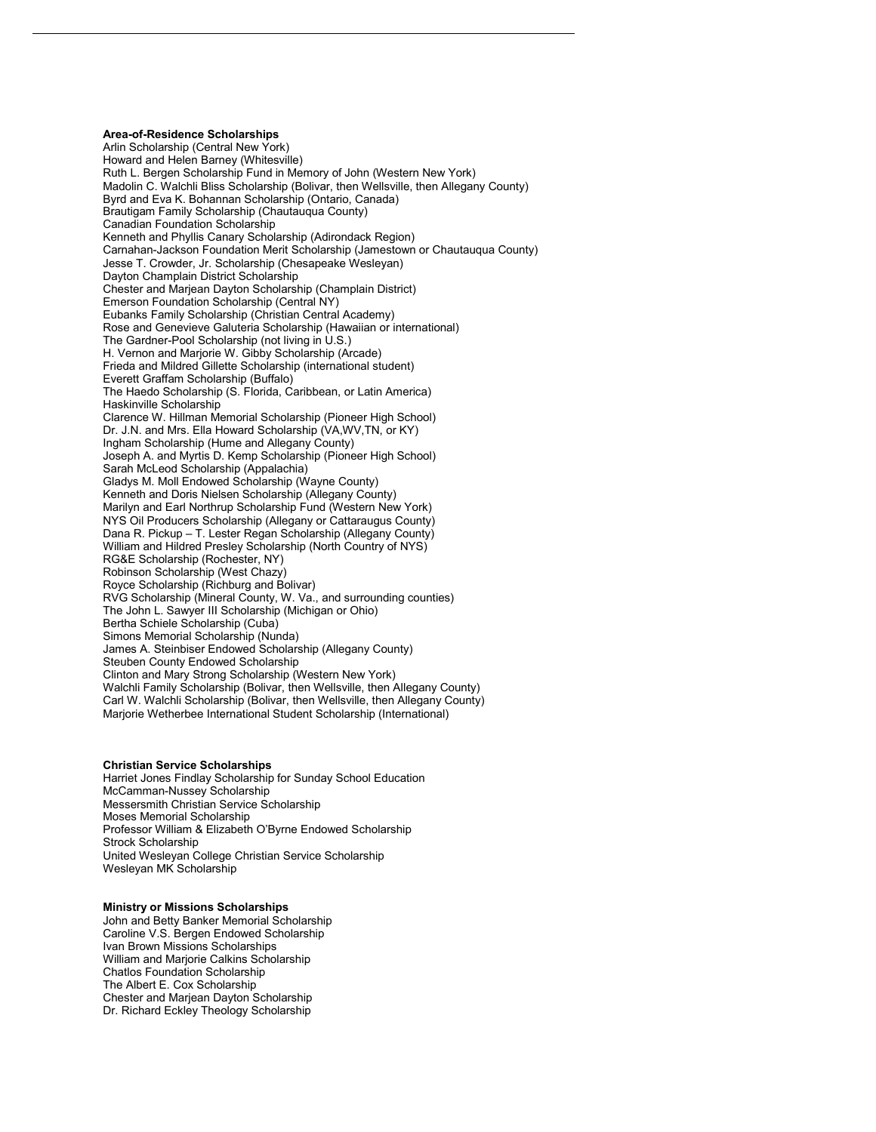**Area-of-Residence Scholarships** Arlin Scholarship (Central New York) Howard and Helen Barney (Whitesville) Ruth L. Bergen Scholarship Fund in Memory of John (Western New York) Madolin C. Walchli Bliss Scholarship (Bolivar, then Wellsville, then Allegany County) Byrd and Eva K. Bohannan Scholarship (Ontario, Canada) Brautigam Family Scholarship (Chautauqua County) Canadian Foundation Scholarship Kenneth and Phyllis Canary Scholarship (Adirondack Region) Carnahan-Jackson Foundation Merit Scholarship (Jamestown or Chautauqua County) Jesse T. Crowder, Jr. Scholarship (Chesapeake Wesleyan) Dayton Champlain District Scholarship Chester and Marjean Dayton Scholarship (Champlain District) Emerson Foundation Scholarship (Central NY) Eubanks Family Scholarship (Christian Central Academy) Rose and Genevieve Galuteria Scholarship (Hawaiian or international) The Gardner-Pool Scholarship (not living in U.S.) H. Vernon and Marjorie W. Gibby Scholarship (Arcade) Frieda and Mildred Gillette Scholarship (international student) Everett Graffam Scholarship (Buffalo) The Haedo Scholarship (S. Florida, Caribbean, or Latin America) Haskinville Scholarship Clarence W. Hillman Memorial Scholarship (Pioneer High School) Dr. J.N. and Mrs. Ella Howard Scholarship (VA,WV,TN, or KY) Ingham Scholarship (Hume and Allegany County) Joseph A. and Myrtis D. Kemp Scholarship (Pioneer High School) Sarah McLeod Scholarship (Appalachia) Gladys M. Moll Endowed Scholarship (Wayne County) Kenneth and Doris Nielsen Scholarship (Allegany County) Marilyn and Earl Northrup Scholarship Fund (Western New York) NYS Oil Producers Scholarship (Allegany or Cattaraugus County) Dana R. Pickup – T. Lester Regan Scholarship (Allegany County) William and Hildred Presley Scholarship (North Country of NYS) RG&E Scholarship (Rochester, NY) Robinson Scholarship (West Chazy) Royce Scholarship (Richburg and Bolivar) RVG Scholarship (Mineral County, W. Va., and surrounding counties) The John L. Sawyer III Scholarship (Michigan or Ohio) Bertha Schiele Scholarship (Cuba) Simons Memorial Scholarship (Nunda) James A. Steinbiser Endowed Scholarship (Allegany County) Steuben County Endowed Scholarship Clinton and Mary Strong Scholarship (Western New York) Walchli Family Scholarship (Bolivar, then Wellsville, then Allegany County) Carl W. Walchli Scholarship (Bolivar, then Wellsville, then Allegany County) Marjorie Wetherbee International Student Scholarship (International)

### **Christian Service Scholarships**

Harriet Jones Findlay Scholarship for Sunday School Education McCamman-Nussey Scholarship Messersmith Christian Service Scholarship Moses Memorial Scholarship Professor William & Elizabeth O'Byrne Endowed Scholarship Strock Scholarship United Wesleyan College Christian Service Scholarship Wesleyan MK Scholarship

### **Ministry or Missions Scholarships**

John and Betty Banker Memorial Scholarship Caroline V.S. Bergen Endowed Scholarship Ivan Brown Missions Scholarships William and Marjorie Calkins Scholarship Chatlos Foundation Scholarship The Albert E. Cox Scholarship Chester and Marjean Dayton Scholarship Dr. Richard Eckley Theology Scholarship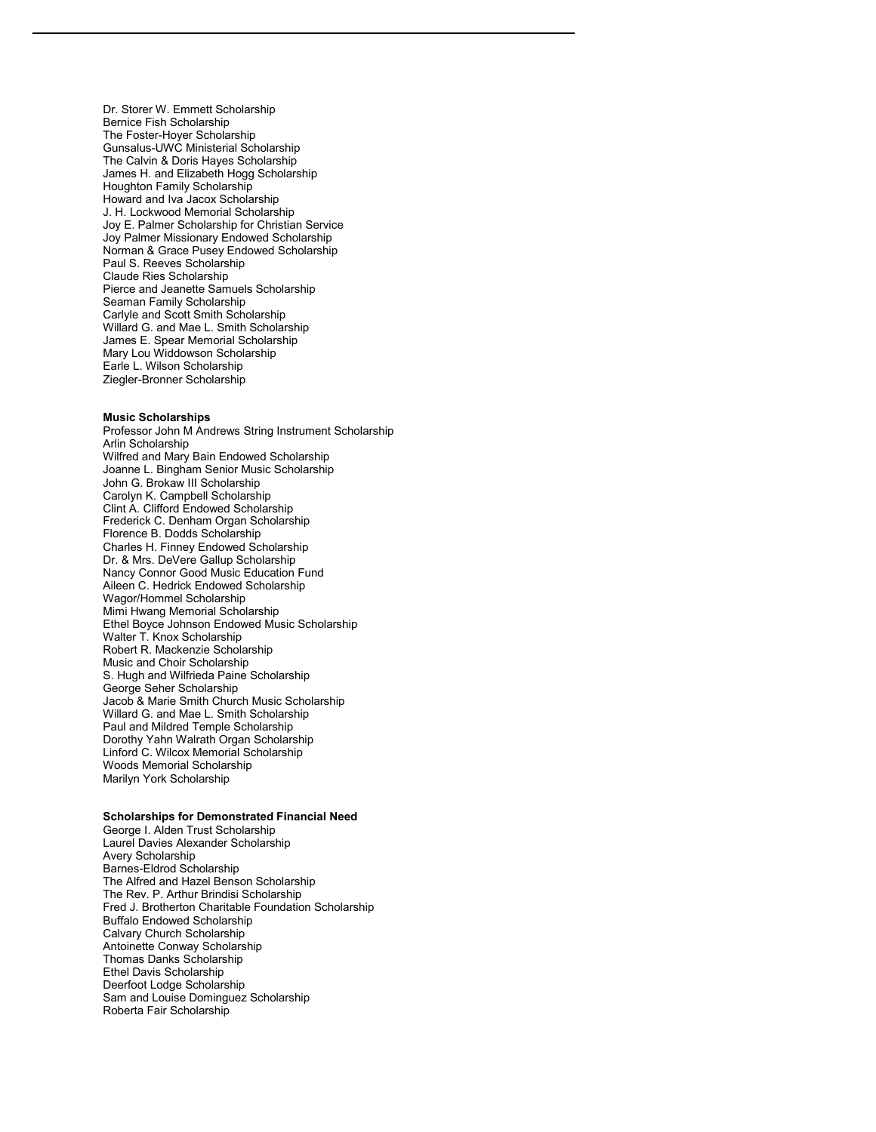Dr. Storer W. Emmett Scholarship Bernice Fish Scholarship The Foster-Hoyer Scholarship Gunsalus-UWC Ministerial Scholarship The Calvin & Doris Hayes Scholarship James H. and Elizabeth Hogg Scholarship Houghton Family Scholarship Howard and Iva Jacox Scholarship J. H. Lockwood Memorial Scholarship Joy E. Palmer Scholarship for Christian Service Joy Palmer Missionary Endowed Scholarship Norman & Grace Pusey Endowed Scholarship Paul S. Reeves Scholarship Claude Ries Scholarship Pierce and Jeanette Samuels Scholarship Seaman Family Scholarship Carlyle and Scott Smith Scholarship Willard G. and Mae L. Smith Scholarship James E. Spear Memorial Scholarship Mary Lou Widdowson Scholarship Earle L. Wilson Scholarship Ziegler-Bronner Scholarship

#### **Music Scholarships**

Professor John M Andrews String Instrument Scholarship Arlin Scholarship Wilfred and Mary Bain Endowed Scholarship Joanne L. Bingham Senior Music Scholarship John G. Brokaw III Scholarship Carolyn K. Campbell Scholarship Clint A. Clifford Endowed Scholarship Frederick C. Denham Organ Scholarship Florence B. Dodds Scholarship Charles H. Finney Endowed Scholarship Dr. & Mrs. DeVere Gallup Scholarship Nancy Connor Good Music Education Fund Aileen C. Hedrick Endowed Scholarship Wagor/Hommel Scholarship Mimi Hwang Memorial Scholarship Ethel Boyce Johnson Endowed Music Scholarship Walter T. Knox Scholarship Robert R. Mackenzie Scholarship Music and Choir Scholarship S. Hugh and Wilfrieda Paine Scholarship George Seher Scholarship Jacob & Marie Smith Church Music Scholarship Willard G. and Mae L. Smith Scholarship Paul and Mildred Temple Scholarship Dorothy Yahn Walrath Organ Scholarship Linford C. Wilcox Memorial Scholarship Woods Memorial Scholarship Marilyn York Scholarship

## **Scholarships for Demonstrated Financial Need**

George I. Alden Trust Scholarship Laurel Davies Alexander Scholarship Avery Scholarship Barnes-Eldrod Scholarship The Alfred and Hazel Benson Scholarship The Rev. P. Arthur Brindisi Scholarship Fred J. Brotherton Charitable Foundation Scholarship Buffalo Endowed Scholarship Calvary Church Scholarship Antoinette Conway Scholarship Thomas Danks Scholarship Ethel Davis Scholarship Deerfoot Lodge Scholarship Sam and Louise Dominguez Scholarship Roberta Fair Scholarship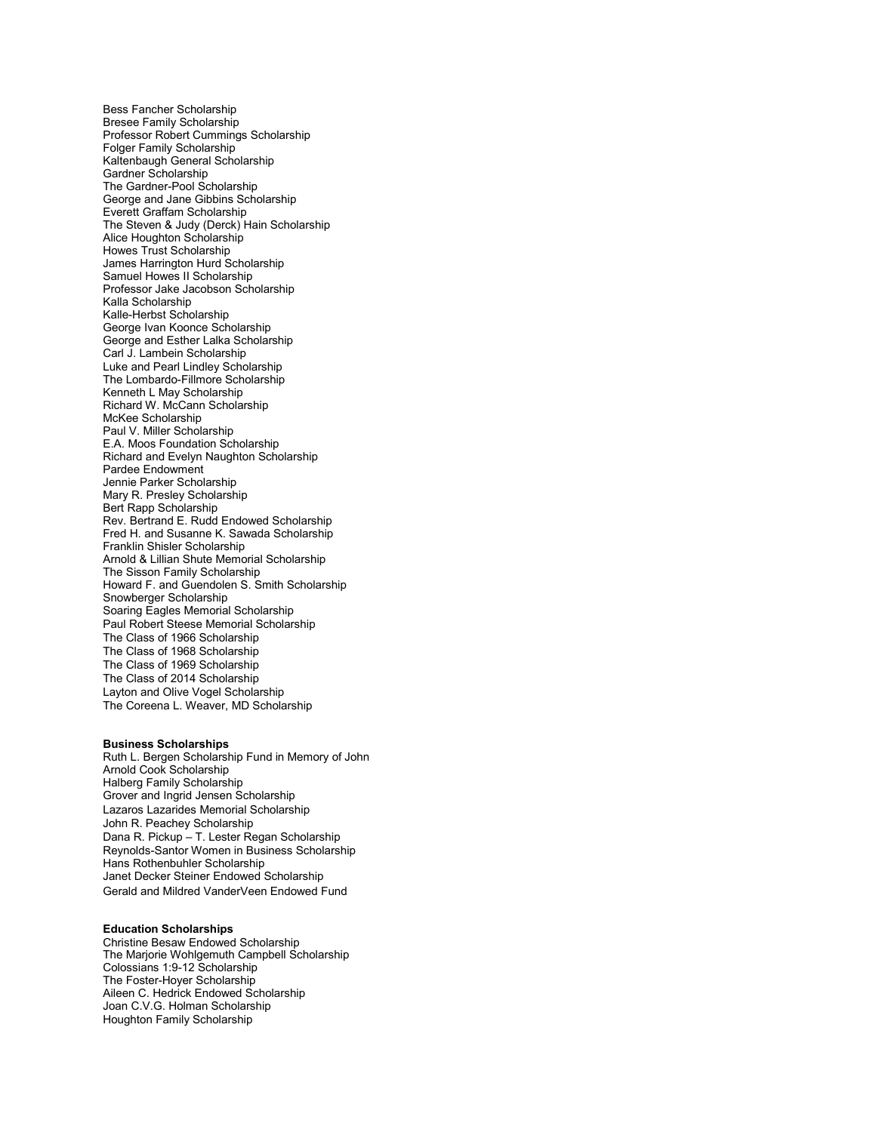Bess Fancher Scholarship Bresee Family Scholarship Professor Robert Cummings Scholarship Folger Family Scholarship Kaltenbaugh General Scholarship Gardner Scholarship The Gardner-Pool Scholarship George and Jane Gibbins Scholarship Everett Graffam Scholarship The Steven & Judy (Derck) Hain Scholarship Alice Houghton Scholarship Howes Trust Scholarship James Harrington Hurd Scholarship Samuel Howes II Scholarship Professor Jake Jacobson Scholarship Kalla Scholarship Kalle-Herbst Scholarship George Ivan Koonce Scholarship George and Esther Lalka Scholarship Carl J. Lambein Scholarship Luke and Pearl Lindley Scholarship The Lombardo-Fillmore Scholarship Kenneth L May Scholarship Richard W. McCann Scholarship McKee Scholarship Paul V. Miller Scholarship E.A. Moos Foundation Scholarship Richard and Evelyn Naughton Scholarship Pardee Endowment Jennie Parker Scholarship Mary R. Presley Scholarship Bert Rapp Scholarship Rev. Bertrand E. Rudd Endowed Scholarship Fred H. and Susanne K. Sawada Scholarship Franklin Shisler Scholarship Arnold & Lillian Shute Memorial Scholarship The Sisson Family Scholarship Howard F. and Guendolen S. Smith Scholarship Snowberger Scholarship Soaring Eagles Memorial Scholarship Paul Robert Steese Memorial Scholarship The Class of 1966 Scholarship The Class of 1968 Scholarship The Class of 1969 Scholarship The Class of 2014 Scholarship Layton and Olive Vogel Scholarship The Coreena L. Weaver, MD Scholarship

## **Business Scholarships**

Ruth L. Bergen Scholarship Fund in Memory of John Arnold Cook Scholarship Halberg Family Scholarship Grover and Ingrid Jensen Scholarship Lazaros Lazarides Memorial Scholarship John R. Peachey Scholarship Dana R. Pickup – T. Lester Regan Scholarship Reynolds-Santor Women in Business Scholarship Hans Rothenbuhler Scholarship Janet Decker Steiner Endowed Scholarship Gerald and Mildred VanderVeen Endowed Fund

## **Education Scholarships**

Christine Besaw Endowed Scholarship The Marjorie Wohlgemuth Campbell Scholarship Colossians 1:9-12 Scholarship The Foster-Hoyer Scholarship Aileen C. Hedrick Endowed Scholarship Joan C.V.G. Holman Scholarship Houghton Family Scholarship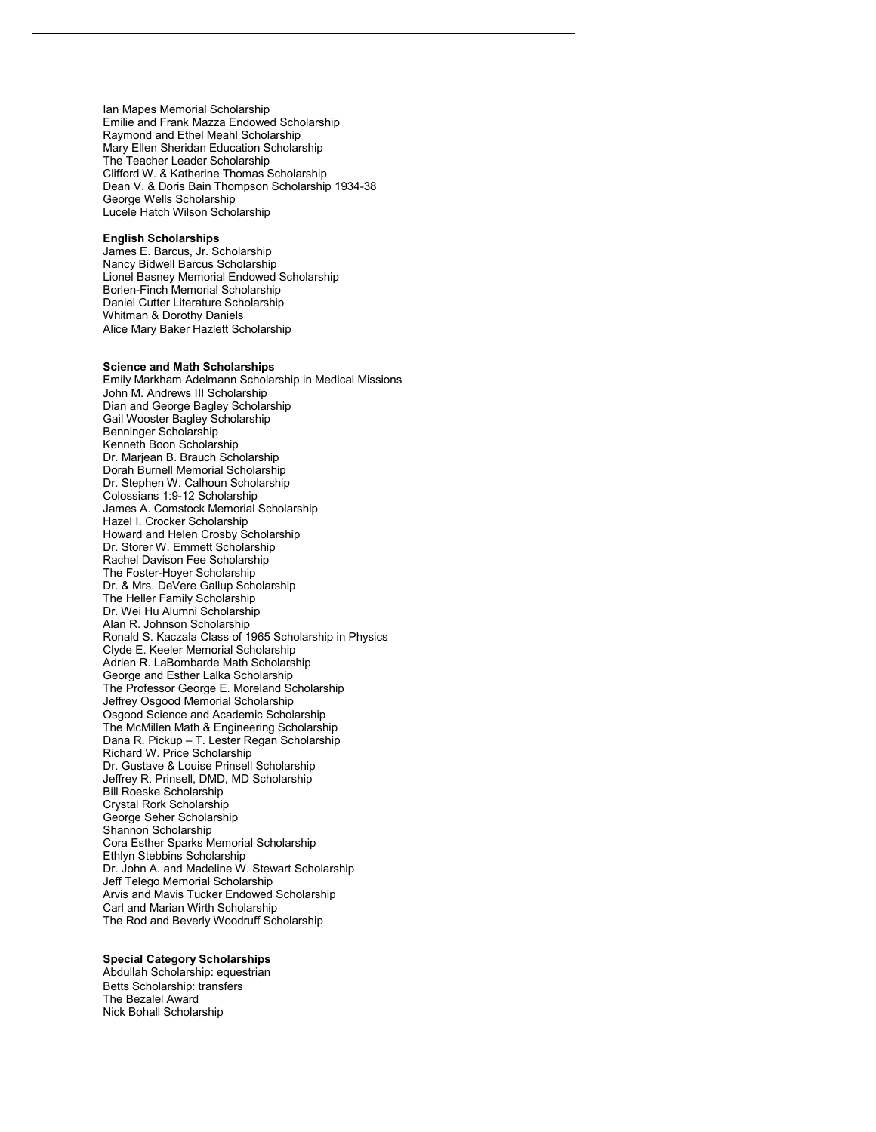Ian Mapes Memorial Scholarship Emilie and Frank Mazza Endowed Scholarship Raymond and Ethel Meahl Scholarship Mary Ellen Sheridan Education Scholarship The Teacher Leader Scholarship Clifford W. & Katherine Thomas Scholarship Dean V. & Doris Bain Thompson Scholarship 1934-38 George Wells Scholarship Lucele Hatch Wilson Scholarship

#### **English Scholarships**

James E. Barcus, Jr. Scholarship Nancy Bidwell Barcus Scholarship Lionel Basney Memorial Endowed Scholarship Borlen-Finch Memorial Scholarship Daniel Cutter Literature Scholarship Whitman & Dorothy Daniels Alice Mary Baker Hazlett Scholarship

#### **Science and Math Scholarships**

Emily Markham Adelmann Scholarship in Medical Missions John M. Andrews III Scholarship Dian and George Bagley Scholarship Gail Wooster Bagley Scholarship Benninger Scholarship Kenneth Boon Scholarship Dr. Marjean B. Brauch Scholarship Dorah Burnell Memorial Scholarship Dr. Stephen W. Calhoun Scholarship Colossians 1:9-12 Scholarship James A. Comstock Memorial Scholarship Hazel I. Crocker Scholarship Howard and Helen Crosby Scholarship Dr. Storer W. Emmett Scholarship Rachel Davison Fee Scholarship The Foster-Hoyer Scholarship Dr. & Mrs. DeVere Gallup Scholarship The Heller Family Scholarship Dr. Wei Hu Alumni Scholarship Alan R. Johnson Scholarship Ronald S. Kaczala Class of 1965 Scholarship in Physics Clyde E. Keeler Memorial Scholarship Adrien R. LaBombarde Math Scholarship George and Esther Lalka Scholarship The Professor George E. Moreland Scholarship Jeffrey Osgood Memorial Scholarship Osgood Science and Academic Scholarship The McMillen Math & Engineering Scholarship Dana R. Pickup – T. Lester Regan Scholarship Richard W. Price Scholarship Dr. Gustave & Louise Prinsell Scholarship Jeffrey R. Prinsell, DMD, MD Scholarship Bill Roeske Scholarship Crystal Rork Scholarship George Seher Scholarship Shannon Scholarship Cora Esther Sparks Memorial Scholarship Ethlyn Stebbins Scholarship Dr. John A. and Madeline W. Stewart Scholarship Jeff Telego Memorial Scholarship Arvis and Mavis Tucker Endowed Scholarship Carl and Marian Wirth Scholarship The Rod and Beverly Woodruff Scholarship

# **Special Category Scholarships**

Abdullah Scholarship: equestrian Betts Scholarship: transfers The Bezalel Award Nick Bohall Scholarship